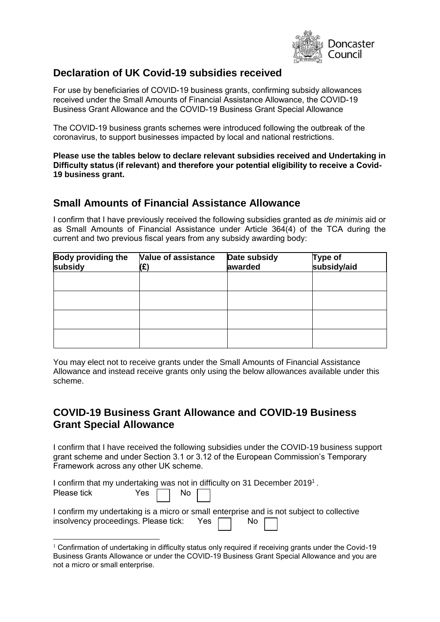

### **Declaration of UK Covid-19 subsidies received**

For use by beneficiaries of COVID-19 business grants, confirming subsidy allowances received under the Small Amounts of Financial Assistance Allowance, the COVID-19 Business Grant Allowance and the COVID-19 Business Grant Special Allowance

The COVID-19 business grants schemes were introduced following the outbreak of the coronavirus, to support businesses impacted by local and national restrictions. 

**Please use the tables below to declare relevant subsidies received and Undertaking in Difficulty status (if relevant) and therefore your potential eligibility to receive a Covid-19 business grant.** 

### **Small Amounts of Financial Assistance Allowance**

I confirm that I have previously received the following subsidies granted as *de minimis* aid or as Small Amounts of Financial Assistance under Article 364(4) of the TCA during the current and two previous fiscal years from any subsidy awarding body:

| <b>Body providing the</b><br>subsidy | <b>Value of assistance</b><br>(£) | Date subsidy<br>awarded | Type of<br>subsidy/aid |
|--------------------------------------|-----------------------------------|-------------------------|------------------------|
|                                      |                                   |                         |                        |
|                                      |                                   |                         |                        |
|                                      |                                   |                         |                        |
|                                      |                                   |                         |                        |

You may elect not to receive grants under the Small Amounts of Financial Assistance Allowance and instead receive grants only using the below allowances available under this scheme.

### **COVID-19 Business Grant Allowance and COVID-19 Business Grant Special Allowance**

I confirm that I have received the following subsidies under the COVID-19 business support grant scheme and under Section 3.1 or 3.12 of the European Commission's Temporary Framework across any other UK scheme.   

| I confirm that my undertaking was not in difficulty on 31 December 2019 <sup>1</sup> .   |                      |  |  |
|------------------------------------------------------------------------------------------|----------------------|--|--|
| Please tick                                                                              | Yes $\Box$ No $\Box$ |  |  |
| I confirm my undertaking is a micro or small enterprise and is not subject to collective |                      |  |  |
| insolvency proceedings. Please tick: Yes   No                                            |                      |  |  |

 $1$  Confirmation of undertaking in difficulty status only required if receiving grants under the Covid-19 Business Grants Allowance or under the COVID-19 Business Grant Special Allowance and you are not a micro or small enterprise.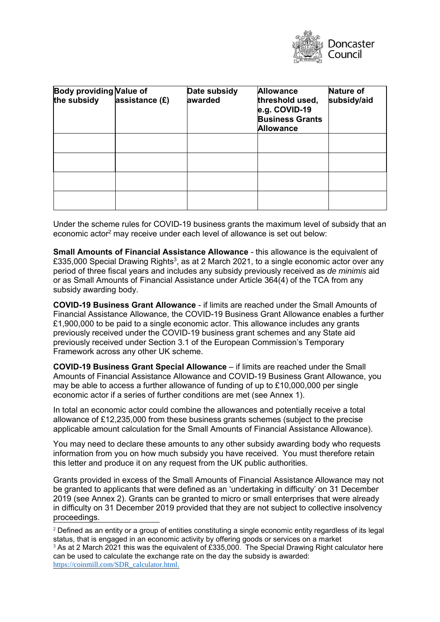

| <b>Body providing Value of</b><br>the subsidy | assistance (£) | Date subsidy<br>awarded | <b>Allowance</b><br>threshold used,<br>e.g. COVID-19<br><b>Business Grants</b><br><b>Allowance</b> | <b>Nature of</b><br>subsidy/aid |
|-----------------------------------------------|----------------|-------------------------|----------------------------------------------------------------------------------------------------|---------------------------------|
|                                               |                |                         |                                                                                                    |                                 |
|                                               |                |                         |                                                                                                    |                                 |
|                                               |                |                         |                                                                                                    |                                 |
|                                               |                |                         |                                                                                                    |                                 |

Under the scheme rules for COVID-19 business grants the maximum level of subsidy that an economic actor<sup>2</sup> may receive under each level of allowance is set out below:

**Small Amounts of Financial Assistance Allowance - this allowance is the equivalent of** £335,000 Special Drawing Rights $^3$ , as at 2 March 2021, to a single economic actor over any period of three fiscal years and includes any subsidy previously received as *de minimis* aid or as Small Amounts of Financial Assistance under Article 364(4) of the TCA from any subsidy awarding body.

**COVID-19 Business Grant Allowance** - if limits are reached under the Small Amounts of Financial Assistance Allowance, the COVID-19 Business Grant Allowance enables a further £1,900,000 to be paid to a single economic actor. This allowance includes any grants previously received under the COVID-19 business grant schemes and any State aid previously received under Section 3.1 of the European Commission's Temporary Framework across any other UK scheme.

**COVID-19 Business Grant Special Allowance** – if limits are reached under the Small Amounts of Financial Assistance Allowance and COVID-19 Business Grant Allowance, you may be able to access a further allowance of funding of up to £10,000,000 per single economic actor if a series of further conditions are met (see Annex 1).

In total an economic actor could combine the allowances and potentially receive a total allowance of £12,235,000 from these business grants schemes (subject to the precise applicable amount calculation for the Small Amounts of Financial Assistance Allowance).

You may need to declare these amounts to any other subsidy awarding body who requests information from you on how much subsidy you have received.  You must therefore retain this letter and produce it on any request from the UK public authorities.

Grants provided in excess of the Small Amounts of Financial Assistance Allowance may not be granted to applicants that were defined as an 'undertaking in difficulty' on 31 December 2019 (see Annex 2). Grants can be granted to micro or small enterprises that were already in difficulty on 31 December 2019 provided that they are not subject to collective insolvency proceedings.

<sup>&</sup>lt;sup>2</sup> Defined as an entity or a group of entities constituting a single economic entity regardless of its legal status, that is engaged in an economic activity by offering goods or services on a market

 $3$  As at 2 March 2021 this was the equivalent of £335,000. The Special Drawing Right calculator here can be used to calculate the exchange rate on the day the subsidy is awarded: [https://coinmill.com/SDR\\_calculator.html.](https://coinmill.com/SDR_calculator.html)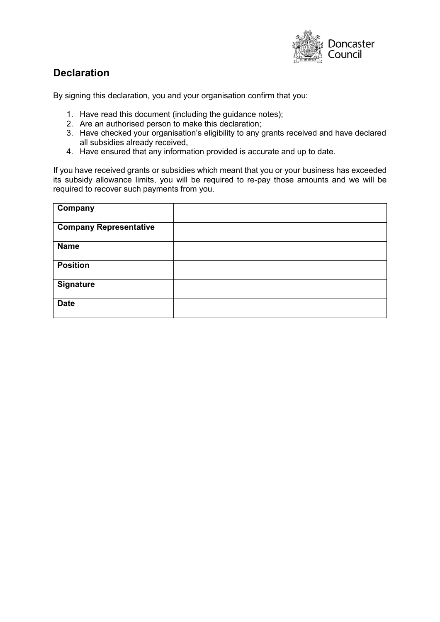

## **Declaration**

By signing this declaration, you and your organisation confirm that you:

- 1. Have read this document (including the guidance notes);
- 2. Are an authorised person to make this declaration;
- 3. Have checked your organisation's eligibility to any grants received and have declared all subsidies already received,
- 4. Have ensured that any information provided is accurate and up to date.

If you have received grants or subsidies which meant that you or your business has exceeded its subsidy allowance limits, you will be required to re-pay those amounts and we will be required to recover such payments from you.

| Company                       |  |
|-------------------------------|--|
| <b>Company Representative</b> |  |
| <b>Name</b>                   |  |
| <b>Position</b>               |  |
| <b>Signature</b>              |  |
| <b>Date</b>                   |  |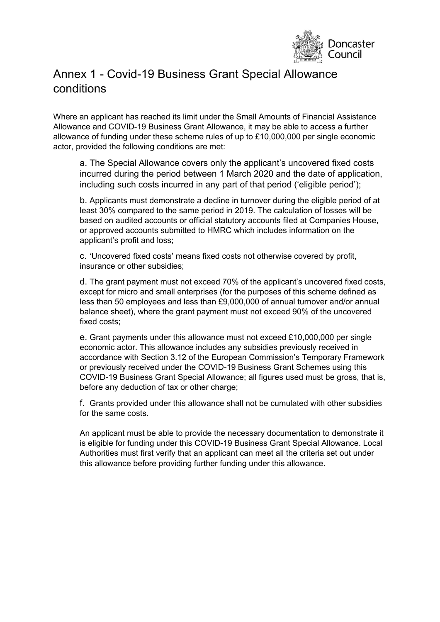

# Annex 1 - Covid-19 Business Grant Special Allowance conditions

Where an applicant has reached its limit under the Small Amounts of Financial Assistance Allowance and COVID-19 Business Grant Allowance, it may be able to access a further allowance of funding under these scheme rules of up to £10,000,000 per single economic actor, provided the following conditions are met:

a. The Special Allowance covers only the applicant's uncovered fixed costs incurred during the period between 1 March 2020 and the date of application, including such costs incurred in any part of that period ('eligible period');

b. Applicants must demonstrate a decline in turnover during the eligible period of at least 30% compared to the same period in 2019. The calculation of losses will be based on audited accounts or official statutory accounts filed at Companies House, or approved accounts submitted to HMRC which includes information on the applicant's profit and loss;

c. 'Uncovered fixed costs' means fixed costs not otherwise covered by profit, insurance or other subsidies;

d. The grant payment must not exceed 70% of the applicant's uncovered fixed costs, except for micro and small enterprises (for the purposes of this scheme defined as less than 50 employees and less than £9,000,000 of annual turnover and/or annual balance sheet), where the grant payment must not exceed 90% of the uncovered fixed costs;

e. Grant payments under this allowance must not exceed £10,000,000 per single economic actor. This allowance includes any subsidies previously received in accordance with Section 3.12 of the European Commission's Temporary Framework or previously received under the COVID-19 Business Grant Schemes using this COVID-19 Business Grant Special Allowance; all figures used must be gross, that is, before any deduction of tax or other charge;

f. Grants provided under this allowance shall not be cumulated with other subsidies for the same costs.

An applicant must be able to provide the necessary documentation to demonstrate it is eligible for funding under this COVID-19 Business Grant Special Allowance. Local Authorities must first verify that an applicant can meet all the criteria set out under this allowance before providing further funding under this allowance.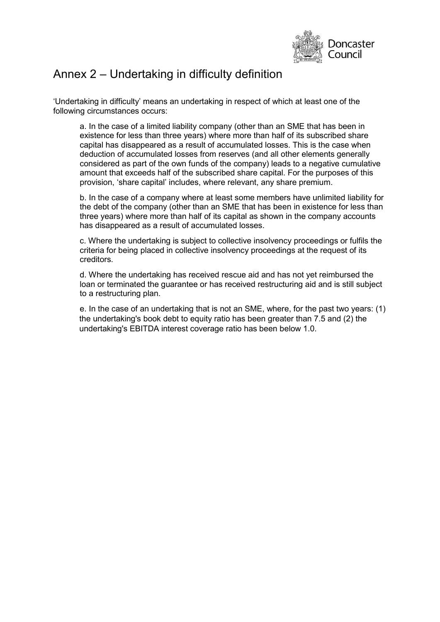

## Annex 2 – Undertaking in difficulty definition

'Undertaking in difficulty' means an undertaking in respect of which at least one of the following circumstances occurs:

a. In the case of a limited liability company (other than an SME that has been in existence for less than three years) where more than half of its subscribed share capital has disappeared as a result of accumulated losses. This is the case when deduction of accumulated losses from reserves (and all other elements generally considered as part of the own funds of the company) leads to a negative cumulative amount that exceeds half of the subscribed share capital. For the purposes of this provision, 'share capital' includes, where relevant, any share premium.

b. In the case of a company where at least some members have unlimited liability for the debt of the company (other than an SME that has been in existence for less than three years) where more than half of its capital as shown in the company accounts has disappeared as a result of accumulated losses.

c. Where the undertaking is subject to collective insolvency proceedings or fulfils the criteria for being placed in collective insolvency proceedings at the request of its creditors.

d. Where the undertaking has received rescue aid and has not yet reimbursed the loan or terminated the guarantee or has received restructuring aid and is still subject to a restructuring plan.

e. In the case of an undertaking that is not an SME, where, for the past two years: (1) the undertaking's book debt to equity ratio has been greater than 7.5 and (2) the undertaking's EBITDA interest coverage ratio has been below 1.0.